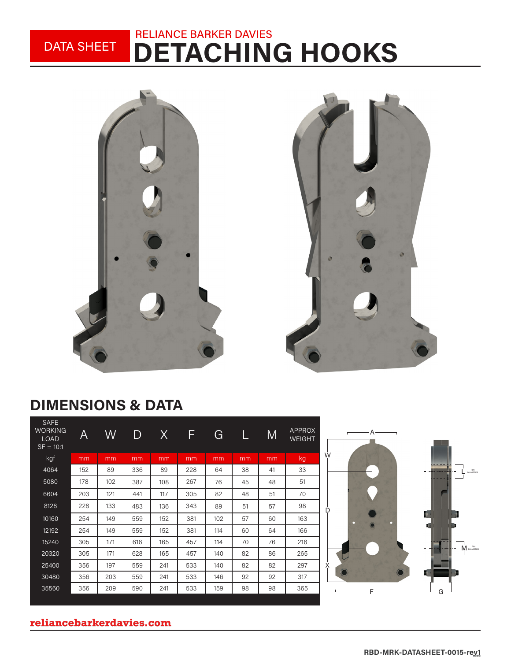#### DETACHING HOOKS RELIANCE BARKER DAVIES DATA SHEET



## DIMENSIONS & DATA

| kgf<br>kg<br>mm<br>mm<br>mm<br>mm<br>mm<br>mm<br>mm<br>mm<br>4064<br>33<br>89<br>336<br>89<br>228<br>152<br>38<br>41<br>64<br>51<br>5080<br>178<br>102<br>267<br>387<br>108<br>76<br>48<br>45<br>6604<br>203<br>121<br>117<br>305<br>82<br>48<br>51<br>70<br>441 |   | <b>APPROX</b><br><b>WEIGHT</b> | M  |    | G  | F   | X   | D   | W   | A   | <b>SAFE</b><br><b>WORKING</b><br><b>LOAD</b><br>$SF = 10:1$ |
|------------------------------------------------------------------------------------------------------------------------------------------------------------------------------------------------------------------------------------------------------------------|---|--------------------------------|----|----|----|-----|-----|-----|-----|-----|-------------------------------------------------------------|
|                                                                                                                                                                                                                                                                  | W |                                |    |    |    |     |     |     |     |     |                                                             |
|                                                                                                                                                                                                                                                                  |   |                                |    |    |    |     |     |     |     |     |                                                             |
|                                                                                                                                                                                                                                                                  |   |                                |    |    |    |     |     |     |     |     |                                                             |
|                                                                                                                                                                                                                                                                  |   |                                |    |    |    |     |     |     |     |     |                                                             |
|                                                                                                                                                                                                                                                                  | D | 98                             | 57 | 51 | 89 | 343 | 136 | 483 | 133 | 228 | 8128                                                        |
| 10160<br>381<br>163<br>149<br>559<br>152<br>102<br>57<br>60<br>254                                                                                                                                                                                               |   |                                |    |    |    |     |     |     |     |     |                                                             |
| 12192<br>149<br>559<br>152<br>381<br>60<br>166<br>254<br>114<br>64                                                                                                                                                                                               |   |                                |    |    |    |     |     |     |     |     |                                                             |
| 15240<br>165<br>216<br>305<br>171<br>616<br>457<br>70<br>76<br>114                                                                                                                                                                                               |   |                                |    |    |    |     |     |     |     |     |                                                             |
| 82<br>20320<br>305<br>171<br>628<br>165<br>457<br>86<br>265<br>140                                                                                                                                                                                               |   |                                |    |    |    |     |     |     |     |     |                                                             |
| 356<br>197<br>82<br>82<br>25400<br>559<br>241<br>533<br>297<br>140                                                                                                                                                                                               | Χ |                                |    |    |    |     |     |     |     |     |                                                             |
| 30480<br>356<br>203<br>559<br>533<br>92<br>92<br>317<br>241<br>146                                                                                                                                                                                               |   |                                |    |    |    |     |     |     |     |     |                                                             |
| 35560<br>356<br>209<br>590<br>241<br>533<br>159<br>98<br>98<br>365                                                                                                                                                                                               |   |                                |    |    |    |     |     |     |     |     |                                                             |



### **reliancebarkerdavies.com**